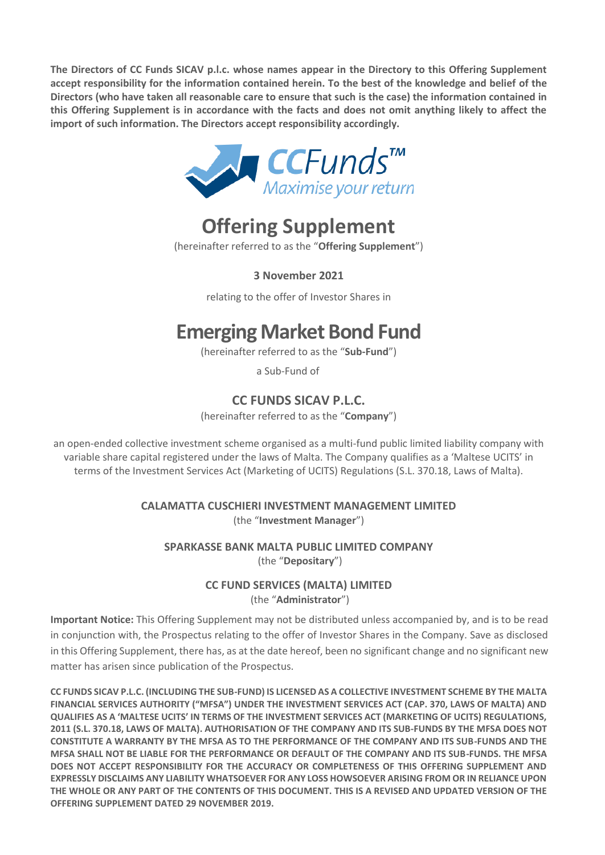**The Directors of CC Funds SICAV p.l.c. whose names appear in the Directory to this Offering Supplement accept responsibility for the information contained herein. To the best of the knowledge and belief of the Directors (who have taken all reasonable care to ensure that such is the case) the information contained in this Offering Supplement is in accordance with the facts and does not omit anything likely to affect the import of such information. The Directors accept responsibility accordingly.**



# **Offering Supplement**

(hereinafter referred to as the "**Offering Supplement**")

**3 November 2021** 

relating to the offer of Investor Shares in

# **Emerging Market Bond Fund**

(hereinafter referred to as the "**Sub-Fund**")

a Sub-Fund of

# **CC FUNDS SICAV P.L.C.**

(hereinafter referred to as the "**Company**")

an open-ended collective investment scheme organised as a multi-fund public limited liability company with variable share capital registered under the laws of Malta. The Company qualifies as a 'Maltese UCITS' in terms of the Investment Services Act (Marketing of UCITS) Regulations (S.L. 370.18, Laws of Malta).

> **CALAMATTA CUSCHIERI INVESTMENT MANAGEMENT LIMITED**  (the "**Investment Manager**")

**SPARKASSE BANK MALTA PUBLIC LIMITED COMPANY** (the "**Depositary**")

### **CC FUND SERVICES (MALTA) LIMITED**  (the "**Administrator**")

**Important Notice:** This Offering Supplement may not be distributed unless accompanied by, and is to be read in conjunction with, the Prospectus relating to the offer of Investor Shares in the Company. Save as disclosed in this Offering Supplement, there has, as at the date hereof, been no significant change and no significant new matter has arisen since publication of the Prospectus.

**CC FUNDS SICAV P.L.C. (INCLUDING THE SUB-FUND) IS LICENSED AS A COLLECTIVE INVESTMENT SCHEME BY THE MALTA FINANCIAL SERVICES AUTHORITY ("MFSA") UNDER THE INVESTMENT SERVICES ACT (CAP. 370, LAWS OF MALTA) AND QUALIFIES AS A 'MALTESE UCITS' IN TERMS OF THE INVESTMENT SERVICES ACT (MARKETING OF UCITS) REGULATIONS, 2011 (S.L. 370.18, LAWS OF MALTA). AUTHORISATION OF THE COMPANY AND ITS SUB-FUNDS BY THE MFSA DOES NOT CONSTITUTE A WARRANTY BY THE MFSA AS TO THE PERFORMANCE OF THE COMPANY AND ITS SUB-FUNDS AND THE MFSA SHALL NOT BE LIABLE FOR THE PERFORMANCE OR DEFAULT OF THE COMPANY AND ITS SUB-FUNDS. THE MFSA DOES NOT ACCEPT RESPONSIBILITY FOR THE ACCURACY OR COMPLETENESS OF THIS OFFERING SUPPLEMENT AND EXPRESSLY DISCLAIMS ANY LIABILITY WHATSOEVER FOR ANY LOSS HOWSOEVER ARISING FROM OR IN RELIANCE UPON THE WHOLE OR ANY PART OF THE CONTENTS OF THIS DOCUMENT. THIS IS A REVISED AND UPDATED VERSION OF THE OFFERING SUPPLEMENT DATED 29 NOVEMBER 2019.**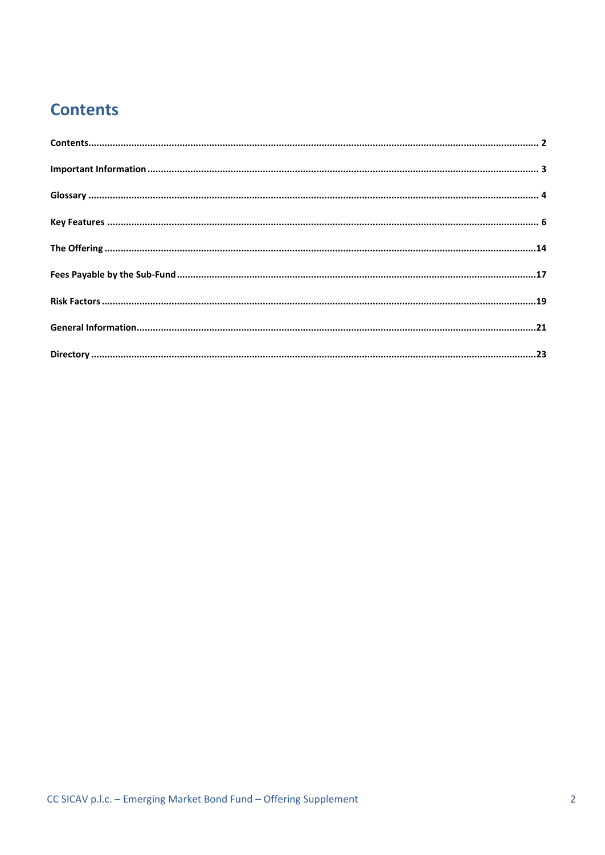# <span id="page-1-0"></span>**Contents**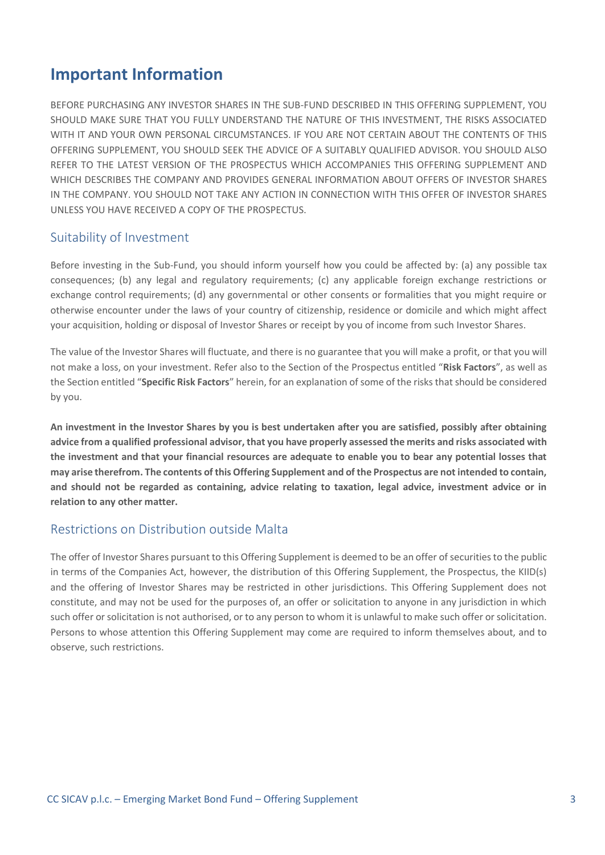# <span id="page-2-0"></span>**Important Information**

BEFORE PURCHASING ANY INVESTOR SHARES IN THE SUB-FUND DESCRIBED IN THIS OFFERING SUPPLEMENT, YOU SHOULD MAKE SURE THAT YOU FULLY UNDERSTAND THE NATURE OF THIS INVESTMENT, THE RISKS ASSOCIATED WITH IT AND YOUR OWN PERSONAL CIRCUMSTANCES. IF YOU ARE NOT CERTAIN ABOUT THE CONTENTS OF THIS OFFERING SUPPLEMENT, YOU SHOULD SEEK THE ADVICE OF A SUITABLY QUALIFIED ADVISOR. YOU SHOULD ALSO REFER TO THE LATEST VERSION OF THE PROSPECTUS WHICH ACCOMPANIES THIS OFFERING SUPPLEMENT AND WHICH DESCRIBES THE COMPANY AND PROVIDES GENERAL INFORMATION ABOUT OFFERS OF INVESTOR SHARES IN THE COMPANY. YOU SHOULD NOT TAKE ANY ACTION IN CONNECTION WITH THIS OFFER OF INVESTOR SHARES UNLESS YOU HAVE RECEIVED A COPY OF THE PROSPECTUS.

### Suitability of Investment

Before investing in the Sub-Fund, you should inform yourself how you could be affected by: (a) any possible tax consequences; (b) any legal and regulatory requirements; (c) any applicable foreign exchange restrictions or exchange control requirements; (d) any governmental or other consents or formalities that you might require or otherwise encounter under the laws of your country of citizenship, residence or domicile and which might affect your acquisition, holding or disposal of Investor Shares or receipt by you of income from such Investor Shares.

The value of the Investor Shares will fluctuate, and there is no guarantee that you will make a profit, or that you will not make a loss, on your investment. Refer also to the Section of the Prospectus entitled "**Risk Factors**", as well as the Section entitled "**Specific Risk Factors**" herein, for an explanation of some of the risks that should be considered by you.

**An investment in the Investor Shares by you is best undertaken after you are satisfied, possibly after obtaining advice from a qualified professional advisor, that you have properly assessed the merits and risks associated with the investment and that your financial resources are adequate to enable you to bear any potential losses that may arise therefrom. The contents of this Offering Supplement and of the Prospectus are not intended to contain, and should not be regarded as containing, advice relating to taxation, legal advice, investment advice or in relation to any other matter.**

### Restrictions on Distribution outside Malta

The offer of Investor Shares pursuant to this Offering Supplement is deemed to be an offer of securities to the public in terms of the Companies Act, however, the distribution of this Offering Supplement, the Prospectus, the KIID(s) and the offering of Investor Shares may be restricted in other jurisdictions. This Offering Supplement does not constitute, and may not be used for the purposes of, an offer or solicitation to anyone in any jurisdiction in which such offer or solicitation is not authorised, or to any person to whom it is unlawful to make such offer or solicitation. Persons to whose attention this Offering Supplement may come are required to inform themselves about, and to observe, such restrictions.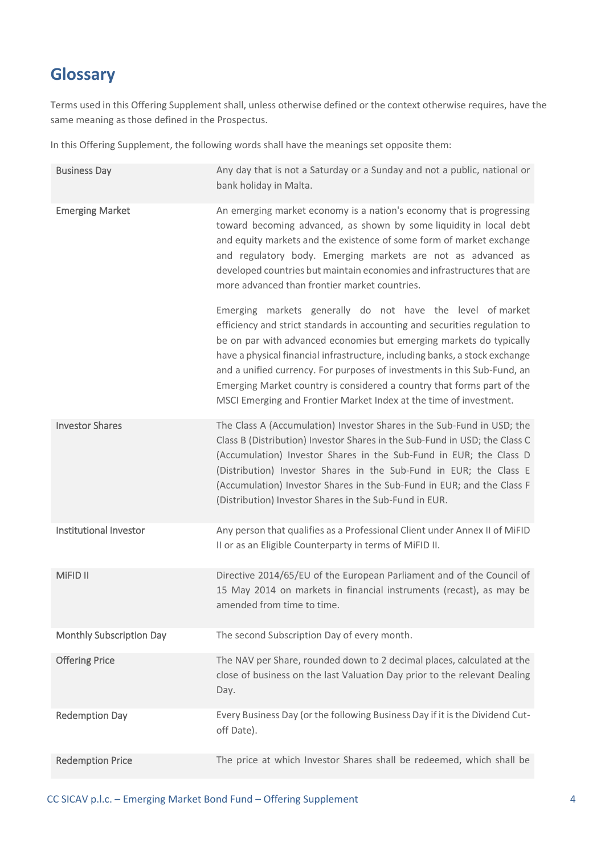# <span id="page-3-0"></span>**Glossary**

Terms used in this Offering Supplement shall, unless otherwise defined or the context otherwise requires, have the same meaning as those defined in the Prospectus.

In this Offering Supplement, the following words shall have the meanings set opposite them:

| <b>Business Day</b>      | Any day that is not a Saturday or a Sunday and not a public, national or<br>bank holiday in Malta.                                                                                                                                                                                                                                                                                                                                                                                                                         |
|--------------------------|----------------------------------------------------------------------------------------------------------------------------------------------------------------------------------------------------------------------------------------------------------------------------------------------------------------------------------------------------------------------------------------------------------------------------------------------------------------------------------------------------------------------------|
| <b>Emerging Market</b>   | An emerging market economy is a nation's economy that is progressing<br>toward becoming advanced, as shown by some liquidity in local debt<br>and equity markets and the existence of some form of market exchange<br>and regulatory body. Emerging markets are not as advanced as<br>developed countries but maintain economies and infrastructures that are<br>more advanced than frontier market countries.                                                                                                             |
|                          | Emerging markets generally do not have the level of market<br>efficiency and strict standards in accounting and securities regulation to<br>be on par with advanced economies but emerging markets do typically<br>have a physical financial infrastructure, including banks, a stock exchange<br>and a unified currency. For purposes of investments in this Sub-Fund, an<br>Emerging Market country is considered a country that forms part of the<br>MSCI Emerging and Frontier Market Index at the time of investment. |
| <b>Investor Shares</b>   | The Class A (Accumulation) Investor Shares in the Sub-Fund in USD; the<br>Class B (Distribution) Investor Shares in the Sub-Fund in USD; the Class C<br>(Accumulation) Investor Shares in the Sub-Fund in EUR; the Class D<br>(Distribution) Investor Shares in the Sub-Fund in EUR; the Class E<br>(Accumulation) Investor Shares in the Sub-Fund in EUR; and the Class F<br>(Distribution) Investor Shares in the Sub-Fund in EUR.                                                                                       |
| Institutional Investor   | Any person that qualifies as a Professional Client under Annex II of MiFID<br>II or as an Eligible Counterparty in terms of MiFID II.                                                                                                                                                                                                                                                                                                                                                                                      |
| MiFID II                 | Directive 2014/65/EU of the European Parliament and of the Council of<br>15 May 2014 on markets in financial instruments (recast), as may be<br>amended from time to time.                                                                                                                                                                                                                                                                                                                                                 |
| Monthly Subscription Day | The second Subscription Day of every month.                                                                                                                                                                                                                                                                                                                                                                                                                                                                                |
| <b>Offering Price</b>    | The NAV per Share, rounded down to 2 decimal places, calculated at the<br>close of business on the last Valuation Day prior to the relevant Dealing<br>Day.                                                                                                                                                                                                                                                                                                                                                                |
| <b>Redemption Day</b>    | Every Business Day (or the following Business Day if it is the Dividend Cut-<br>off Date).                                                                                                                                                                                                                                                                                                                                                                                                                                 |
| <b>Redemption Price</b>  | The price at which Investor Shares shall be redeemed, which shall be                                                                                                                                                                                                                                                                                                                                                                                                                                                       |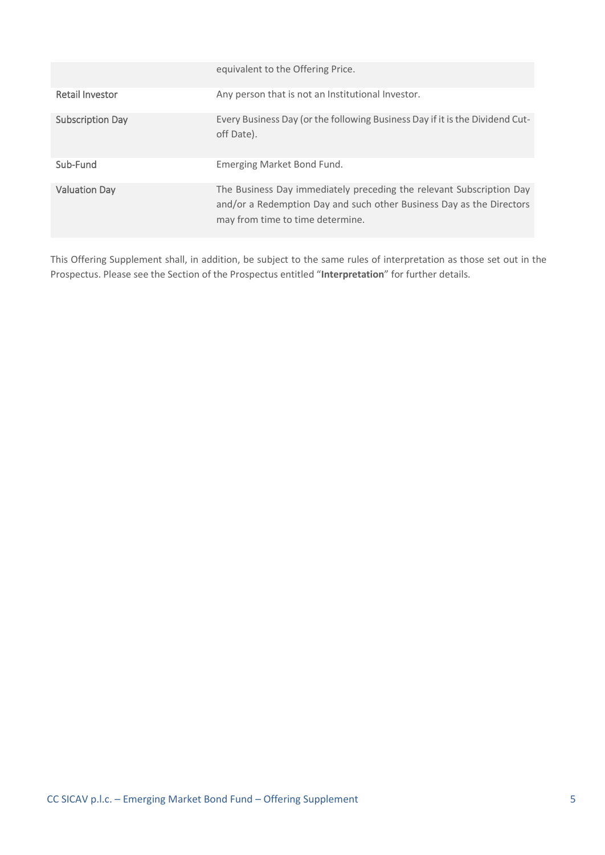|                         | equivalent to the Offering Price.                                                                                                                                                |
|-------------------------|----------------------------------------------------------------------------------------------------------------------------------------------------------------------------------|
| <b>Retail Investor</b>  | Any person that is not an Institutional Investor.                                                                                                                                |
| <b>Subscription Day</b> | Every Business Day (or the following Business Day if it is the Dividend Cut-<br>off Date).                                                                                       |
| Sub-Fund                | Emerging Market Bond Fund.                                                                                                                                                       |
| <b>Valuation Day</b>    | The Business Day immediately preceding the relevant Subscription Day<br>and/or a Redemption Day and such other Business Day as the Directors<br>may from time to time determine. |

This Offering Supplement shall, in addition, be subject to the same rules of interpretation as those set out in the Prospectus. Please see the Section of the Prospectus entitled "**Interpretation**" for further details.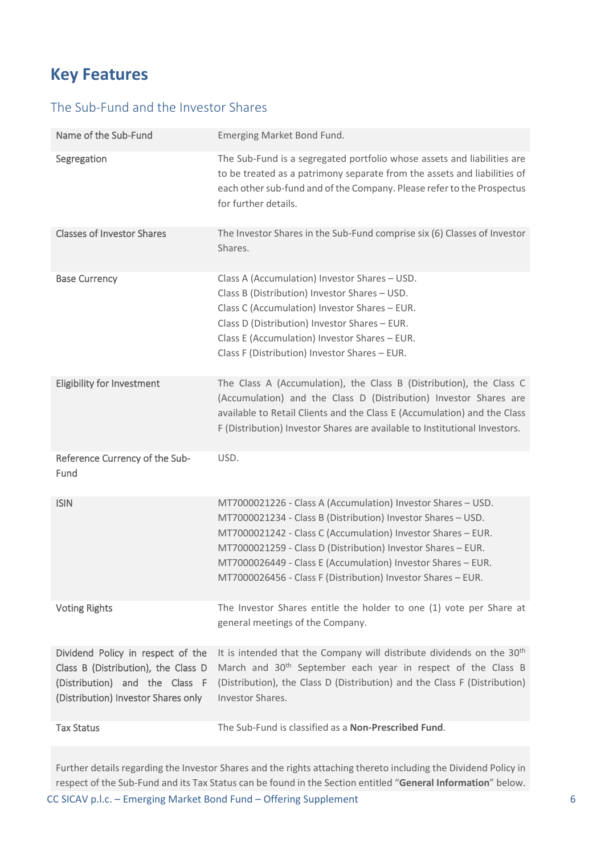# <span id="page-5-0"></span>**Key Features**

# The Sub-Fund and the Investor Shares

| Name of the Sub-Fund                                                                                       | Emerging Market Bond Fund.                                                                                                                                                                                                                                                                                                                                                                   |
|------------------------------------------------------------------------------------------------------------|----------------------------------------------------------------------------------------------------------------------------------------------------------------------------------------------------------------------------------------------------------------------------------------------------------------------------------------------------------------------------------------------|
| Segregation                                                                                                | The Sub-Fund is a segregated portfolio whose assets and liabilities are<br>to be treated as a patrimony separate from the assets and liabilities of<br>each other sub-fund and of the Company. Please refer to the Prospectus<br>for further details.                                                                                                                                        |
| <b>Classes of Investor Shares</b>                                                                          | The Investor Shares in the Sub-Fund comprise six (6) Classes of Investor<br>Shares.                                                                                                                                                                                                                                                                                                          |
| <b>Base Currency</b>                                                                                       | Class A (Accumulation) Investor Shares - USD.<br>Class B (Distribution) Investor Shares - USD.<br>Class C (Accumulation) Investor Shares - EUR.<br>Class D (Distribution) Investor Shares - EUR.<br>Class E (Accumulation) Investor Shares - EUR.<br>Class F (Distribution) Investor Shares - EUR.                                                                                           |
| <b>Eligibility for Investment</b>                                                                          | The Class A (Accumulation), the Class B (Distribution), the Class C<br>(Accumulation) and the Class D (Distribution) Investor Shares are<br>available to Retail Clients and the Class E (Accumulation) and the Class<br>F (Distribution) Investor Shares are available to Institutional Investors.                                                                                           |
| Reference Currency of the Sub-<br>Fund                                                                     | USD.                                                                                                                                                                                                                                                                                                                                                                                         |
| <b>ISIN</b>                                                                                                | MT7000021226 - Class A (Accumulation) Investor Shares - USD.<br>MT7000021234 - Class B (Distribution) Investor Shares - USD.<br>MT7000021242 - Class C (Accumulation) Investor Shares - EUR.<br>MT7000021259 - Class D (Distribution) Investor Shares - EUR.<br>MT7000026449 - Class E (Accumulation) Investor Shares - EUR.<br>MT7000026456 - Class F (Distribution) Investor Shares - EUR. |
| <b>Voting Rights</b>                                                                                       | The Investor Shares entitle the holder to one (1) vote per Share at<br>general meetings of the Company.                                                                                                                                                                                                                                                                                      |
| Dividend Policy in respect of the<br>Class B (Distribution), the Class D<br>(Distribution) and the Class F | It is intended that the Company will distribute dividends on the 30 <sup>th</sup><br>March and 30 <sup>th</sup> September each year in respect of the Class B<br>(Distribution), the Class D (Distribution) and the Class F (Distribution)                                                                                                                                                   |
| (Distribution) Investor Shares only                                                                        | Investor Shares.                                                                                                                                                                                                                                                                                                                                                                             |

CC SICAV p.l.c. – Emerging Market Bond Fund – Offering Supplement 6 Further details regarding the Investor Shares and the rights attaching thereto including the Dividend Policy in respect of the Sub-Fund and its Tax Status can be found in the Section entitled "**General Information**" below.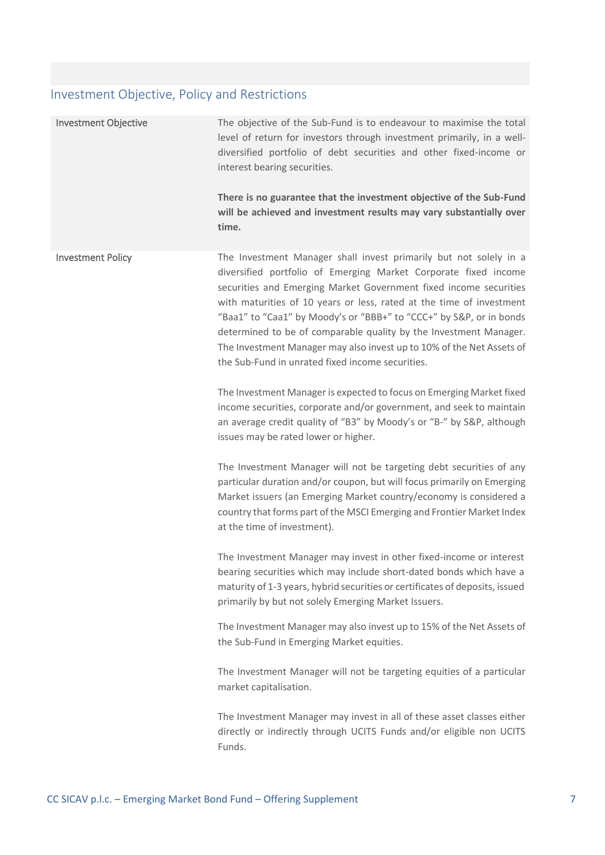# Investment Objective, Policy and Restrictions

| <b>Investment Objective</b> | The objective of the Sub-Fund is to endeavour to maximise the total<br>level of return for investors through investment primarily, in a well-<br>diversified portfolio of debt securities and other fixed-income or<br>interest bearing securities.<br>There is no guarantee that the investment objective of the Sub-Fund<br>will be achieved and investment results may vary substantially over<br>time.                                                                                                                                                 |
|-----------------------------|------------------------------------------------------------------------------------------------------------------------------------------------------------------------------------------------------------------------------------------------------------------------------------------------------------------------------------------------------------------------------------------------------------------------------------------------------------------------------------------------------------------------------------------------------------|
| <b>Investment Policy</b>    | The Investment Manager shall invest primarily but not solely in a<br>diversified portfolio of Emerging Market Corporate fixed income<br>securities and Emerging Market Government fixed income securities<br>with maturities of 10 years or less, rated at the time of investment<br>"Baa1" to "Caa1" by Moody's or "BBB+" to "CCC+" by S&P, or in bonds<br>determined to be of comparable quality by the Investment Manager.<br>The Investment Manager may also invest up to 10% of the Net Assets of<br>the Sub-Fund in unrated fixed income securities. |
|                             | The Investment Manager is expected to focus on Emerging Market fixed<br>income securities, corporate and/or government, and seek to maintain<br>an average credit quality of "B3" by Moody's or "B-" by S&P, although<br>issues may be rated lower or higher.                                                                                                                                                                                                                                                                                              |
|                             | The Investment Manager will not be targeting debt securities of any<br>particular duration and/or coupon, but will focus primarily on Emerging<br>Market issuers (an Emerging Market country/economy is considered a<br>country that forms part of the MSCI Emerging and Frontier Market Index<br>at the time of investment).                                                                                                                                                                                                                              |
|                             | The Investment Manager may invest in other fixed-income or interest<br>bearing securities which may include short-dated bonds which have a<br>maturity of 1-3 years, hybrid securities or certificates of deposits, issued<br>primarily by but not solely Emerging Market Issuers.                                                                                                                                                                                                                                                                         |
|                             | The Investment Manager may also invest up to 15% of the Net Assets of<br>the Sub-Fund in Emerging Market equities.                                                                                                                                                                                                                                                                                                                                                                                                                                         |
|                             | The Investment Manager will not be targeting equities of a particular<br>market capitalisation.                                                                                                                                                                                                                                                                                                                                                                                                                                                            |
|                             | The Investment Manager may invest in all of these asset classes either<br>directly or indirectly through UCITS Funds and/or eligible non UCITS<br>Funds.                                                                                                                                                                                                                                                                                                                                                                                                   |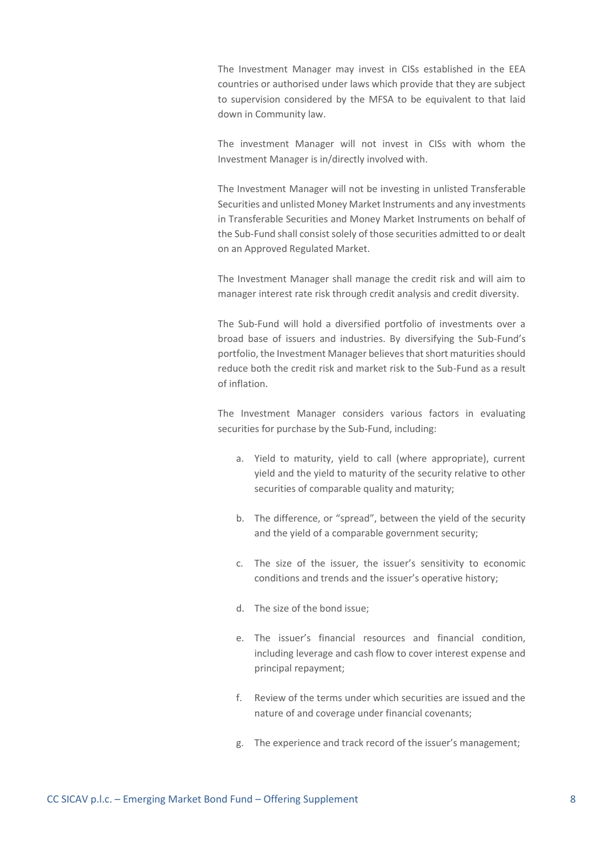The Investment Manager may invest in CISs established in the EEA countries or authorised under laws which provide that they are subject to supervision considered by the MFSA to be equivalent to that laid down in Community law.

The investment Manager will not invest in CISs with whom the Investment Manager is in/directly involved with.

The Investment Manager will not be investing in unlisted Transferable Securities and unlisted Money Market Instruments and any investments in Transferable Securities and Money Market Instruments on behalf of the Sub-Fund shall consist solely of those securities admitted to or dealt on an Approved Regulated Market.

The Investment Manager shall manage the credit risk and will aim to manager interest rate risk through credit analysis and credit diversity.

The Sub-Fund will hold a diversified portfolio of investments over a broad base of issuers and industries. By diversifying the Sub-Fund's portfolio, the Investment Manager believes that short maturities should reduce both the credit risk and market risk to the Sub-Fund as a result of inflation.

The Investment Manager considers various factors in evaluating securities for purchase by the Sub-Fund, including:

- a. Yield to maturity, yield to call (where appropriate), current yield and the yield to maturity of the security relative to other securities of comparable quality and maturity;
- b. The difference, or "spread", between the yield of the security and the yield of a comparable government security;
- c. The size of the issuer, the issuer's sensitivity to economic conditions and trends and the issuer's operative history;
- d. The size of the bond issue;
- e. The issuer's financial resources and financial condition, including leverage and cash flow to cover interest expense and principal repayment;
- f. Review of the terms under which securities are issued and the nature of and coverage under financial covenants;
- g. The experience and track record of the issuer's management;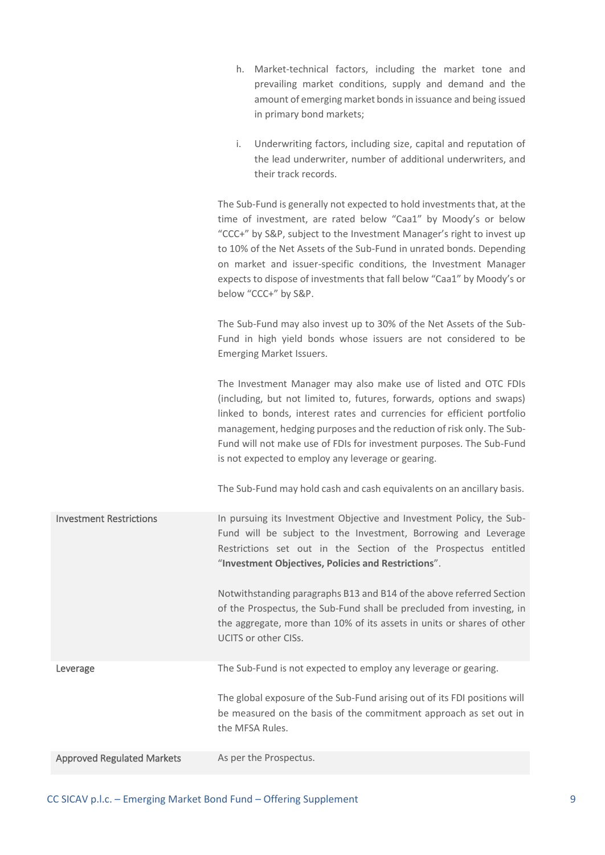|                                   | Market-technical factors, including the market tone and<br>h.<br>prevailing market conditions, supply and demand and the<br>amount of emerging market bonds in issuance and being issued<br>in primary bond markets;<br>Underwriting factors, including size, capital and reputation of<br>i.<br>the lead underwriter, number of additional underwriters, and<br>their track records.                                                                            |
|-----------------------------------|------------------------------------------------------------------------------------------------------------------------------------------------------------------------------------------------------------------------------------------------------------------------------------------------------------------------------------------------------------------------------------------------------------------------------------------------------------------|
|                                   | The Sub-Fund is generally not expected to hold investments that, at the<br>time of investment, are rated below "Caa1" by Moody's or below<br>"CCC+" by S&P, subject to the Investment Manager's right to invest up<br>to 10% of the Net Assets of the Sub-Fund in unrated bonds. Depending<br>on market and issuer-specific conditions, the Investment Manager<br>expects to dispose of investments that fall below "Caa1" by Moody's or<br>below "CCC+" by S&P. |
|                                   | The Sub-Fund may also invest up to 30% of the Net Assets of the Sub-<br>Fund in high yield bonds whose issuers are not considered to be<br><b>Emerging Market Issuers.</b>                                                                                                                                                                                                                                                                                       |
|                                   | The Investment Manager may also make use of listed and OTC FDIs<br>(including, but not limited to, futures, forwards, options and swaps)<br>linked to bonds, interest rates and currencies for efficient portfolio<br>management, hedging purposes and the reduction of risk only. The Sub-<br>Fund will not make use of FDIs for investment purposes. The Sub-Fund<br>is not expected to employ any leverage or gearing.                                        |
|                                   | The Sub-Fund may hold cash and cash equivalents on an ancillary basis.                                                                                                                                                                                                                                                                                                                                                                                           |
| <b>Investment Restrictions</b>    | In pursuing its Investment Objective and Investment Policy, the Sub-<br>Fund will be subject to the Investment, Borrowing and Leverage<br>Restrictions set out in the Section of the Prospectus entitled<br>"Investment Objectives, Policies and Restrictions".                                                                                                                                                                                                  |
|                                   | Notwithstanding paragraphs B13 and B14 of the above referred Section<br>of the Prospectus, the Sub-Fund shall be precluded from investing, in<br>the aggregate, more than 10% of its assets in units or shares of other<br>UCITS or other CISs.                                                                                                                                                                                                                  |
| Leverage                          | The Sub-Fund is not expected to employ any leverage or gearing.                                                                                                                                                                                                                                                                                                                                                                                                  |
|                                   | The global exposure of the Sub-Fund arising out of its FDI positions will<br>be measured on the basis of the commitment approach as set out in<br>the MFSA Rules.                                                                                                                                                                                                                                                                                                |
| <b>Approved Regulated Markets</b> | As per the Prospectus.                                                                                                                                                                                                                                                                                                                                                                                                                                           |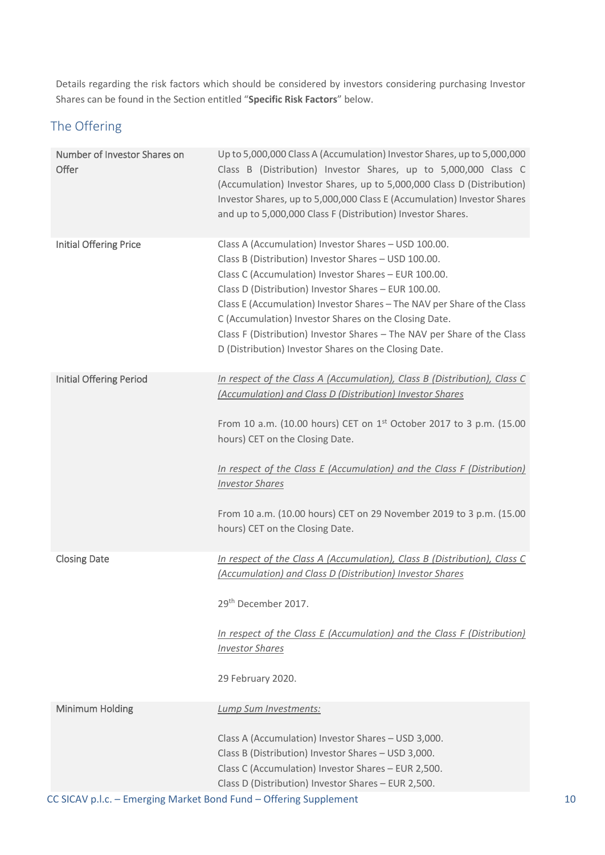Details regarding the risk factors which should be considered by investors considering purchasing Investor Shares can be found in the Section entitled "**Specific Risk Factors**" below.

# The Offering

| Number of Investor Shares on<br>Offer | Up to 5,000,000 Class A (Accumulation) Investor Shares, up to 5,000,000<br>Class B (Distribution) Investor Shares, up to 5,000,000 Class C<br>(Accumulation) Investor Shares, up to 5,000,000 Class D (Distribution)<br>Investor Shares, up to 5,000,000 Class E (Accumulation) Investor Shares<br>and up to 5,000,000 Class F (Distribution) Investor Shares.                                                                                                                                       |
|---------------------------------------|------------------------------------------------------------------------------------------------------------------------------------------------------------------------------------------------------------------------------------------------------------------------------------------------------------------------------------------------------------------------------------------------------------------------------------------------------------------------------------------------------|
| <b>Initial Offering Price</b>         | Class A (Accumulation) Investor Shares - USD 100.00.<br>Class B (Distribution) Investor Shares - USD 100.00.<br>Class C (Accumulation) Investor Shares - EUR 100.00.<br>Class D (Distribution) Investor Shares - EUR 100.00.<br>Class E (Accumulation) Investor Shares - The NAV per Share of the Class<br>C (Accumulation) Investor Shares on the Closing Date.<br>Class F (Distribution) Investor Shares - The NAV per Share of the Class<br>D (Distribution) Investor Shares on the Closing Date. |
| <b>Initial Offering Period</b>        | In respect of the Class A (Accumulation), Class B (Distribution), Class C<br>(Accumulation) and Class D (Distribution) Investor Shares<br>From 10 a.m. (10.00 hours) CET on 1 <sup>st</sup> October 2017 to 3 p.m. (15.00<br>hours) CET on the Closing Date.<br>In respect of the Class E (Accumulation) and the Class F (Distribution)<br><b>Investor Shares</b><br>From 10 a.m. (10.00 hours) CET on 29 November 2019 to 3 p.m. (15.00<br>hours) CET on the Closing Date.                          |
| <b>Closing Date</b>                   | In respect of the Class A (Accumulation), Class B (Distribution), Class C<br>(Accumulation) and Class D (Distribution) Investor Shares<br>29 <sup>th</sup> December 2017.<br>In respect of the Class E (Accumulation) and the Class F (Distribution)<br><b>Investor Shares</b><br>29 February 2020.                                                                                                                                                                                                  |
| <b>Minimum Holding</b>                | Lump Sum Investments:<br>Class A (Accumulation) Investor Shares - USD 3,000.<br>Class B (Distribution) Investor Shares - USD 3,000.<br>Class C (Accumulation) Investor Shares - EUR 2,500.<br>Class D (Distribution) Investor Shares - EUR 2,500.                                                                                                                                                                                                                                                    |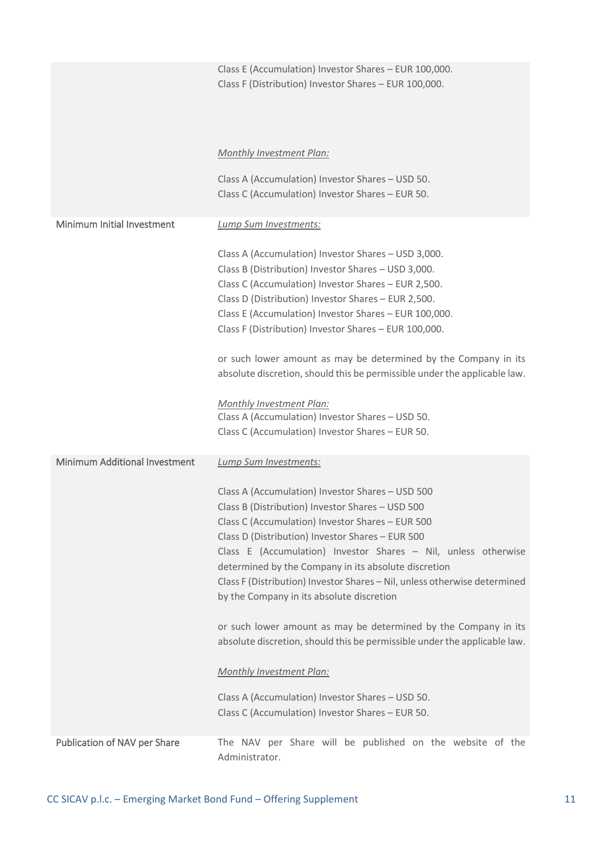|                                      | Class E (Accumulation) Investor Shares - EUR 100,000.<br>Class F (Distribution) Investor Shares - EUR 100,000.                                                                                                                                                                                                                                                                                                                                                                                                                                                                                                   |
|--------------------------------------|------------------------------------------------------------------------------------------------------------------------------------------------------------------------------------------------------------------------------------------------------------------------------------------------------------------------------------------------------------------------------------------------------------------------------------------------------------------------------------------------------------------------------------------------------------------------------------------------------------------|
|                                      | Monthly Investment Plan:                                                                                                                                                                                                                                                                                                                                                                                                                                                                                                                                                                                         |
|                                      | Class A (Accumulation) Investor Shares - USD 50.<br>Class C (Accumulation) Investor Shares - EUR 50.                                                                                                                                                                                                                                                                                                                                                                                                                                                                                                             |
| Minimum Initial Investment           | Lump Sum Investments:                                                                                                                                                                                                                                                                                                                                                                                                                                                                                                                                                                                            |
|                                      | Class A (Accumulation) Investor Shares - USD 3,000.<br>Class B (Distribution) Investor Shares - USD 3,000.<br>Class C (Accumulation) Investor Shares - EUR 2,500.<br>Class D (Distribution) Investor Shares - EUR 2,500.<br>Class E (Accumulation) Investor Shares - EUR 100,000.<br>Class F (Distribution) Investor Shares - EUR 100,000.<br>or such lower amount as may be determined by the Company in its<br>absolute discretion, should this be permissible under the applicable law.<br><b>Monthly Investment Plan:</b>                                                                                    |
|                                      | Class A (Accumulation) Investor Shares - USD 50.<br>Class C (Accumulation) Investor Shares - EUR 50.                                                                                                                                                                                                                                                                                                                                                                                                                                                                                                             |
| <b>Minimum Additional Investment</b> | Lump Sum Investments:                                                                                                                                                                                                                                                                                                                                                                                                                                                                                                                                                                                            |
|                                      | Class A (Accumulation) Investor Shares - USD 500<br>Class B (Distribution) Investor Shares - USD 500<br>Class C (Accumulation) Investor Shares - EUR 500<br>Class D (Distribution) Investor Shares - EUR 500<br>Class E (Accumulation) Investor Shares - Nil, unless otherwise<br>determined by the Company in its absolute discretion<br>Class F (Distribution) Investor Shares - Nil, unless otherwise determined<br>by the Company in its absolute discretion<br>or such lower amount as may be determined by the Company in its<br>absolute discretion, should this be permissible under the applicable law. |
|                                      | <b>Monthly Investment Plan:</b><br>Class A (Accumulation) Investor Shares - USD 50.<br>Class C (Accumulation) Investor Shares - EUR 50.                                                                                                                                                                                                                                                                                                                                                                                                                                                                          |
| Publication of NAV per Share         | The NAV per Share will be published on the website of the                                                                                                                                                                                                                                                                                                                                                                                                                                                                                                                                                        |
|                                      | Administrator.                                                                                                                                                                                                                                                                                                                                                                                                                                                                                                                                                                                                   |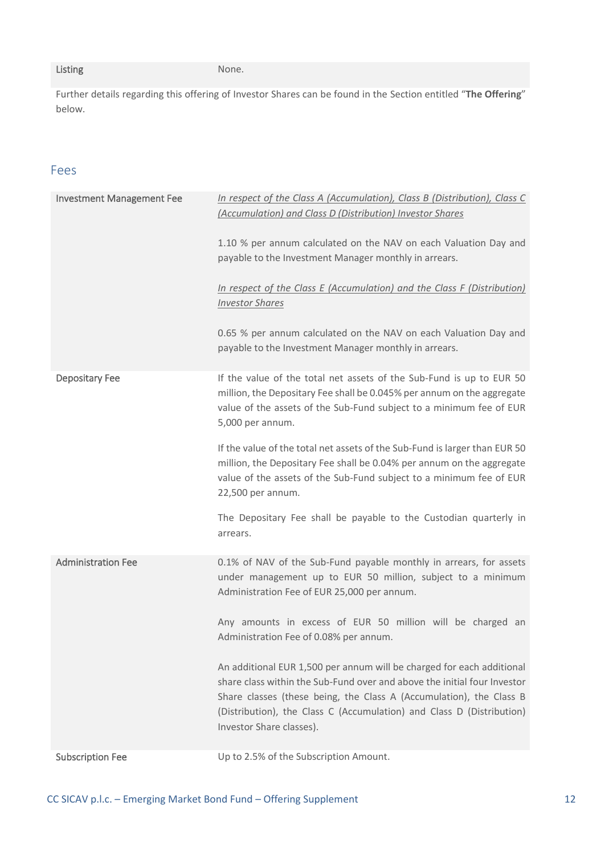#### Listing None.

Further details regarding this offering of Investor Shares can be found in the Section entitled "**The Offering**" below.

# Fees

| <b>Investment Management Fee</b> | In respect of the Class A (Accumulation), Class B (Distribution), Class C<br>(Accumulation) and Class D (Distribution) Investor Shares<br>1.10 % per annum calculated on the NAV on each Valuation Day and<br>payable to the Investment Manager monthly in arrears.<br>In respect of the Class E (Accumulation) and the Class F (Distribution)<br><b>Investor Shares</b><br>0.65 % per annum calculated on the NAV on each Valuation Day and<br>payable to the Investment Manager monthly in arrears.                                                                                                                     |
|----------------------------------|---------------------------------------------------------------------------------------------------------------------------------------------------------------------------------------------------------------------------------------------------------------------------------------------------------------------------------------------------------------------------------------------------------------------------------------------------------------------------------------------------------------------------------------------------------------------------------------------------------------------------|
| Depositary Fee                   | If the value of the total net assets of the Sub-Fund is up to EUR 50<br>million, the Depositary Fee shall be 0.045% per annum on the aggregate<br>value of the assets of the Sub-Fund subject to a minimum fee of EUR<br>5,000 per annum.<br>If the value of the total net assets of the Sub-Fund is larger than EUR 50<br>million, the Depositary Fee shall be 0.04% per annum on the aggregate<br>value of the assets of the Sub-Fund subject to a minimum fee of EUR<br>22,500 per annum.<br>The Depositary Fee shall be payable to the Custodian quarterly in<br>arrears.                                             |
| <b>Administration Fee</b>        | 0.1% of NAV of the Sub-Fund payable monthly in arrears, for assets<br>under management up to EUR 50 million, subject to a minimum<br>Administration Fee of EUR 25,000 per annum.<br>Any amounts in excess of EUR 50 million will be charged an<br>Administration Fee of 0.08% per annum.<br>An additional EUR 1,500 per annum will be charged for each additional<br>share class within the Sub-Fund over and above the initial four Investor<br>Share classes (these being, the Class A (Accumulation), the Class B<br>(Distribution), the Class C (Accumulation) and Class D (Distribution)<br>Investor Share classes). |
| <b>Subscription Fee</b>          | Up to 2.5% of the Subscription Amount.                                                                                                                                                                                                                                                                                                                                                                                                                                                                                                                                                                                    |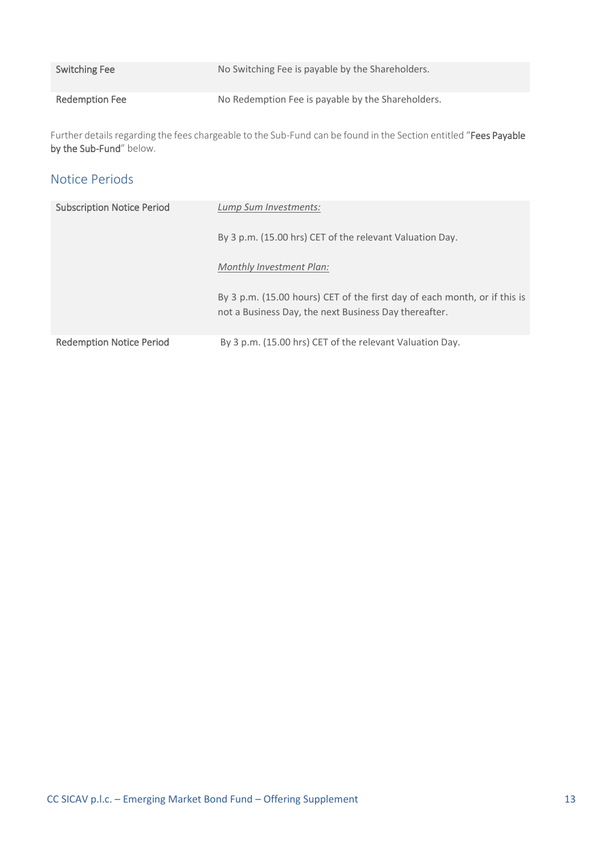| <b>Switching Fee</b> | No Switching Fee is payable by the Shareholders.  |
|----------------------|---------------------------------------------------|
| Redemption Fee       | No Redemption Fee is payable by the Shareholders. |

Further details regarding the fees chargeable to the Sub-Fund can be found in the Section entitled "Fees Payable by the Sub-Fund" below.

# Notice Periods

| <b>Subscription Notice Period</b> | Lump Sum Investments:                                                                                                              |
|-----------------------------------|------------------------------------------------------------------------------------------------------------------------------------|
|                                   | By 3 p.m. (15.00 hrs) CET of the relevant Valuation Day.                                                                           |
|                                   | Monthly Investment Plan:                                                                                                           |
|                                   | By 3 p.m. (15.00 hours) CET of the first day of each month, or if this is<br>not a Business Day, the next Business Day thereafter. |
| <b>Redemption Notice Period</b>   | By 3 p.m. (15.00 hrs) CET of the relevant Valuation Day.                                                                           |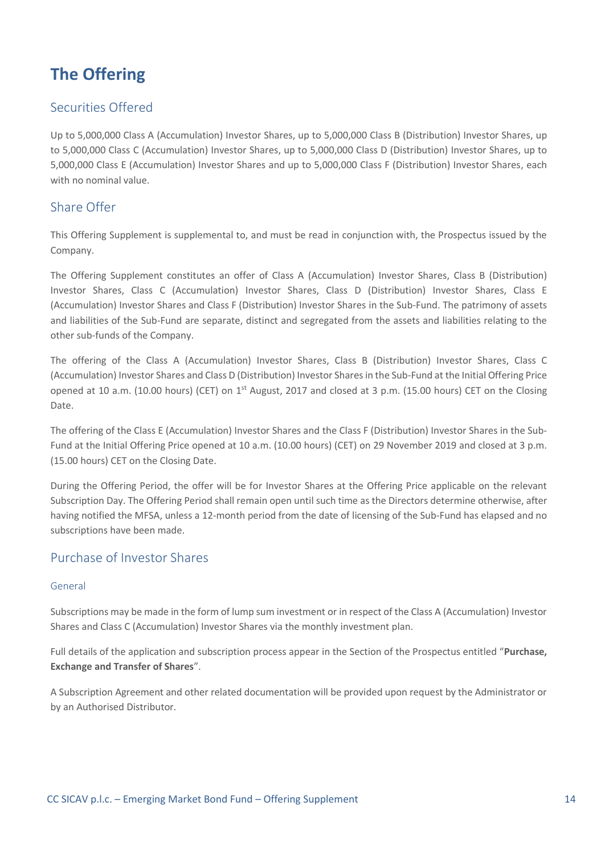# <span id="page-13-0"></span>**The Offering**

# Securities Offered

Up to 5,000,000 Class A (Accumulation) Investor Shares, up to 5,000,000 Class B (Distribution) Investor Shares, up to 5,000,000 Class C (Accumulation) Investor Shares, up to 5,000,000 Class D (Distribution) Investor Shares, up to 5,000,000 Class E (Accumulation) Investor Shares and up to 5,000,000 Class F (Distribution) Investor Shares, each with no nominal value.

# Share Offer

This Offering Supplement is supplemental to, and must be read in conjunction with, the Prospectus issued by the Company.

The Offering Supplement constitutes an offer of Class A (Accumulation) Investor Shares, Class B (Distribution) Investor Shares, Class C (Accumulation) Investor Shares, Class D (Distribution) Investor Shares, Class E (Accumulation) Investor Shares and Class F (Distribution) Investor Shares in the Sub-Fund. The patrimony of assets and liabilities of the Sub-Fund are separate, distinct and segregated from the assets and liabilities relating to the other sub-funds of the Company.

The offering of the Class A (Accumulation) Investor Shares, Class B (Distribution) Investor Shares, Class C (Accumulation) Investor Shares and Class D (Distribution) Investor Shares in the Sub-Fund at the Initial Offering Price opened at 10 a.m. (10.00 hours) (CET) on 1<sup>st</sup> August, 2017 and closed at 3 p.m. (15.00 hours) CET on the Closing Date.

The offering of the Class E (Accumulation) Investor Shares and the Class F (Distribution) Investor Shares in the Sub-Fund at the Initial Offering Price opened at 10 a.m. (10.00 hours) (CET) on 29 November 2019 and closed at 3 p.m. (15.00 hours) CET on the Closing Date.

During the Offering Period, the offer will be for Investor Shares at the Offering Price applicable on the relevant Subscription Day. The Offering Period shall remain open until such time as the Directors determine otherwise, after having notified the MFSA, unless a 12-month period from the date of licensing of the Sub-Fund has elapsed and no subscriptions have been made.

# Purchase of Investor Shares

#### General

Subscriptions may be made in the form of lump sum investment or in respect of the Class A (Accumulation) Investor Shares and Class C (Accumulation) Investor Shares via the monthly investment plan.

Full details of the application and subscription process appear in the Section of the Prospectus entitled "**Purchase, Exchange and Transfer of Shares**".

A Subscription Agreement and other related documentation will be provided upon request by the Administrator or by an Authorised Distributor.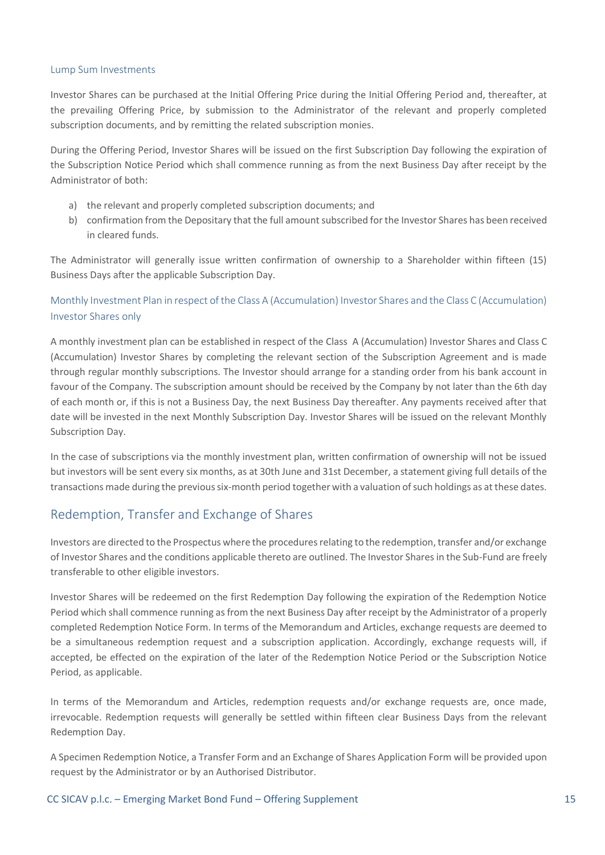#### Lump Sum Investments

Investor Shares can be purchased at the Initial Offering Price during the Initial Offering Period and, thereafter, at the prevailing Offering Price, by submission to the Administrator of the relevant and properly completed subscription documents, and by remitting the related subscription monies.

During the Offering Period, Investor Shares will be issued on the first Subscription Day following the expiration of the Subscription Notice Period which shall commence running as from the next Business Day after receipt by the Administrator of both:

- a) the relevant and properly completed subscription documents; and
- b) confirmation from the Depositary that the full amount subscribed for the Investor Shares has been received in cleared funds.

The Administrator will generally issue written confirmation of ownership to a Shareholder within fifteen (15) Business Days after the applicable Subscription Day.

### Monthly Investment Plan in respect of the Class A (Accumulation) Investor Shares and the Class C (Accumulation) Investor Shares only

A monthly investment plan can be established in respect of the Class A (Accumulation) Investor Shares and Class C (Accumulation) Investor Shares by completing the relevant section of the Subscription Agreement and is made through regular monthly subscriptions. The Investor should arrange for a standing order from his bank account in favour of the Company. The subscription amount should be received by the Company by not later than the 6th day of each month or, if this is not a Business Day, the next Business Day thereafter. Any payments received after that date will be invested in the next Monthly Subscription Day. Investor Shares will be issued on the relevant Monthly Subscription Day.

In the case of subscriptions via the monthly investment plan, written confirmation of ownership will not be issued but investors will be sent every six months, as at 30th June and 31st December, a statement giving full details of the transactions made during the previous six-month period together with a valuation of such holdings as at these dates.

### Redemption, Transfer and Exchange of Shares

Investors are directed to the Prospectus where the procedures relating to the redemption, transfer and/or exchange of Investor Shares and the conditions applicable thereto are outlined. The Investor Shares in the Sub-Fund are freely transferable to other eligible investors.

Investor Shares will be redeemed on the first Redemption Day following the expiration of the Redemption Notice Period which shall commence running as from the next Business Day after receipt by the Administrator of a properly completed Redemption Notice Form. In terms of the Memorandum and Articles, exchange requests are deemed to be a simultaneous redemption request and a subscription application. Accordingly, exchange requests will, if accepted, be effected on the expiration of the later of the Redemption Notice Period or the Subscription Notice Period, as applicable.

In terms of the Memorandum and Articles, redemption requests and/or exchange requests are, once made, irrevocable. Redemption requests will generally be settled within fifteen clear Business Days from the relevant Redemption Day.

A Specimen Redemption Notice, a Transfer Form and an Exchange of Shares Application Form will be provided upon request by the Administrator or by an Authorised Distributor.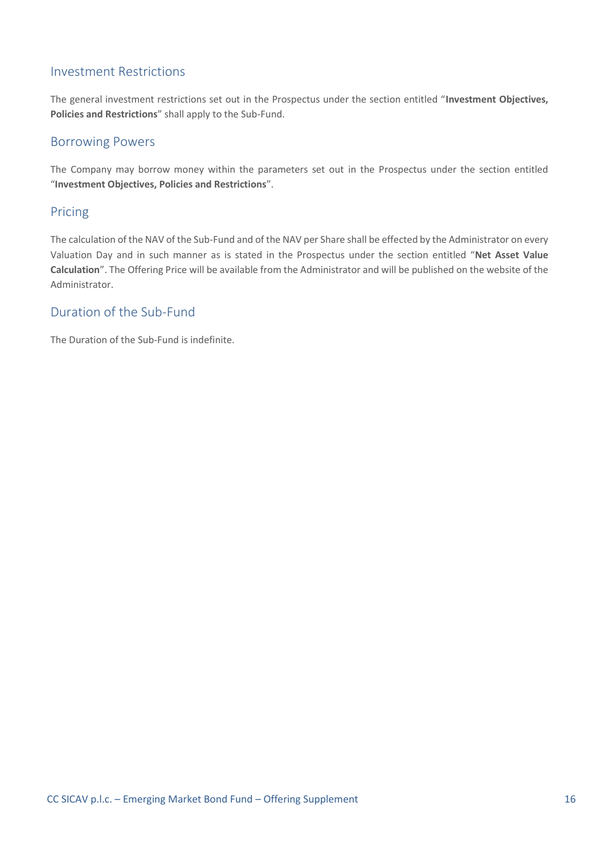## Investment Restrictions

The general investment restrictions set out in the Prospectus under the section entitled "**Investment Objectives, Policies and Restrictions**" shall apply to the Sub-Fund.

### Borrowing Powers

The Company may borrow money within the parameters set out in the Prospectus under the section entitled "**Investment Objectives, Policies and Restrictions**".

### Pricing

The calculation of the NAV of the Sub-Fund and of the NAV per Share shall be effected by the Administrator on every Valuation Day and in such manner as is stated in the Prospectus under the section entitled "**Net Asset Value Calculation**". The Offering Price will be available from the Administrator and will be published on the website of the Administrator.

## Duration of the Sub-Fund

The Duration of the Sub-Fund is indefinite.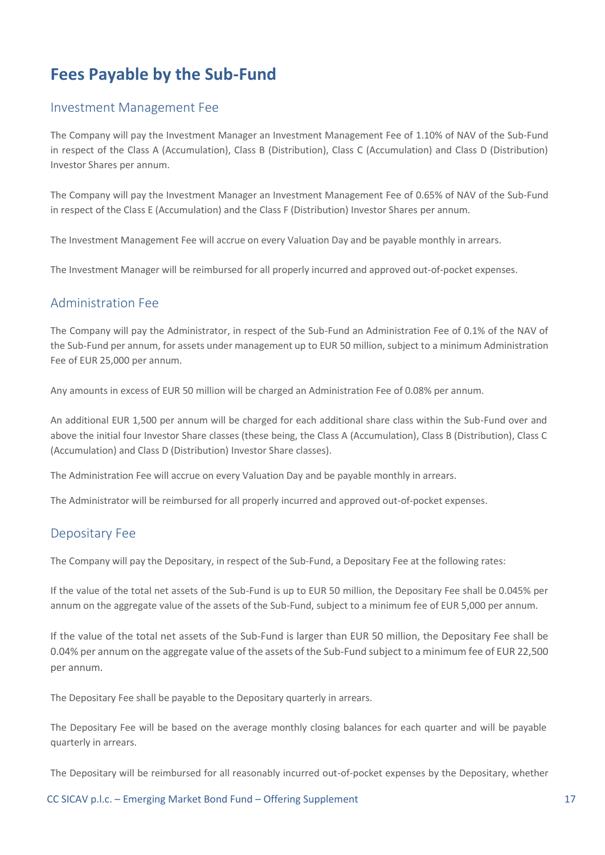# <span id="page-16-0"></span>**Fees Payable by the Sub-Fund**

### Investment Management Fee

The Company will pay the Investment Manager an Investment Management Fee of 1.10% of NAV of the Sub-Fund in respect of the Class A (Accumulation), Class B (Distribution), Class C (Accumulation) and Class D (Distribution) Investor Shares per annum.

The Company will pay the Investment Manager an Investment Management Fee of 0.65% of NAV of the Sub-Fund in respect of the Class E (Accumulation) and the Class F (Distribution) Investor Shares per annum.

The Investment Management Fee will accrue on every Valuation Day and be payable monthly in arrears.

The Investment Manager will be reimbursed for all properly incurred and approved out-of-pocket expenses.

### Administration Fee

The Company will pay the Administrator, in respect of the Sub-Fund an Administration Fee of 0.1% of the NAV of the Sub-Fund per annum, for assets under management up to EUR 50 million, subject to a minimum Administration Fee of EUR 25,000 per annum.

Any amounts in excess of EUR 50 million will be charged an Administration Fee of 0.08% per annum.

An additional EUR 1,500 per annum will be charged for each additional share class within the Sub-Fund over and above the initial four Investor Share classes (these being, the Class A (Accumulation), Class B (Distribution), Class C (Accumulation) and Class D (Distribution) Investor Share classes).

The Administration Fee will accrue on every Valuation Day and be payable monthly in arrears.

The Administrator will be reimbursed for all properly incurred and approved out-of-pocket expenses.

### Depositary Fee

The Company will pay the Depositary, in respect of the Sub-Fund, a Depositary Fee at the following rates:

If the value of the total net assets of the Sub-Fund is up to EUR 50 million, the Depositary Fee shall be 0.045% per annum on the aggregate value of the assets of the Sub-Fund, subject to a minimum fee of EUR 5,000 per annum.

If the value of the total net assets of the Sub-Fund is larger than EUR 50 million, the Depositary Fee shall be 0.04% per annum on the aggregate value of the assets of the Sub-Fund subject to a minimum fee of EUR 22,500 per annum.

The Depositary Fee shall be payable to the Depositary quarterly in arrears.

The Depositary Fee will be based on the average monthly closing balances for each quarter and will be payable quarterly in arrears.

The Depositary will be reimbursed for all reasonably incurred out-of-pocket expenses by the Depositary, whether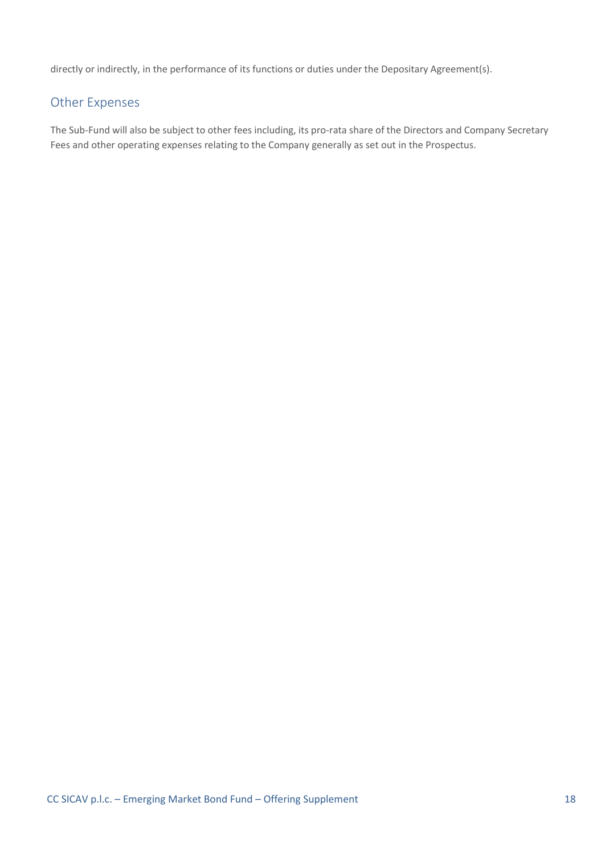directly or indirectly, in the performance of its functions or duties under the Depositary Agreement(s).

# Other Expenses

The Sub-Fund will also be subject to other fees including, its pro-rata share of the Directors and Company Secretary Fees and other operating expenses relating to the Company generally as set out in the Prospectus.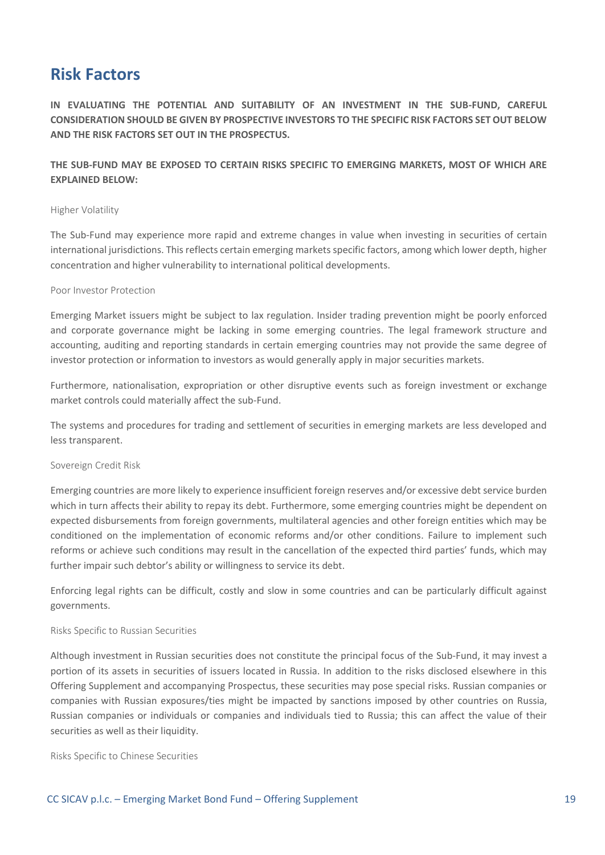# <span id="page-18-0"></span>**Risk Factors**

**IN EVALUATING THE POTENTIAL AND SUITABILITY OF AN INVESTMENT IN THE SUB-FUND, CAREFUL CONSIDERATION SHOULD BE GIVEN BY PROSPECTIVE INVESTORS TO THE SPECIFIC RISK FACTORS SET OUT BELOW AND THE RISK FACTORS SET OUT IN THE PROSPECTUS.** 

**THE SUB-FUND MAY BE EXPOSED TO CERTAIN RISKS SPECIFIC TO EMERGING MARKETS, MOST OF WHICH ARE EXPLAINED BELOW:**

#### Higher Volatility

The Sub-Fund may experience more rapid and extreme changes in value when investing in securities of certain international jurisdictions. This reflects certain emerging markets specific factors, among which lower depth, higher concentration and higher vulnerability to international political developments.

#### Poor Investor Protection

Emerging Market issuers might be subject to lax regulation. Insider trading prevention might be poorly enforced and corporate governance might be lacking in some emerging countries. The legal framework structure and accounting, auditing and reporting standards in certain emerging countries may not provide the same degree of investor protection or information to investors as would generally apply in major securities markets.

Furthermore, nationalisation, expropriation or other disruptive events such as foreign investment or exchange market controls could materially affect the sub-Fund.

The systems and procedures for trading and settlement of securities in emerging markets are less developed and less transparent.

#### Sovereign Credit Risk

Emerging countries are more likely to experience insufficient foreign reserves and/or excessive debt service burden which in turn affects their ability to repay its debt. Furthermore, some emerging countries might be dependent on expected disbursements from foreign governments, multilateral agencies and other foreign entities which may be conditioned on the implementation of economic reforms and/or other conditions. Failure to implement such reforms or achieve such conditions may result in the cancellation of the expected third parties' funds, which may further impair such debtor's ability or willingness to service its debt.

Enforcing legal rights can be difficult, costly and slow in some countries and can be particularly difficult against governments.

#### Risks Specific to Russian Securities

Although investment in Russian securities does not constitute the principal focus of the Sub-Fund, it may invest a portion of its assets in securities of issuers located in Russia. In addition to the risks disclosed elsewhere in this Offering Supplement and accompanying Prospectus, these securities may pose special risks. Russian companies or companies with Russian exposures/ties might be impacted by sanctions imposed by other countries on Russia, Russian companies or individuals or companies and individuals tied to Russia; this can affect the value of their securities as well as their liquidity.

Risks Specific to Chinese Securities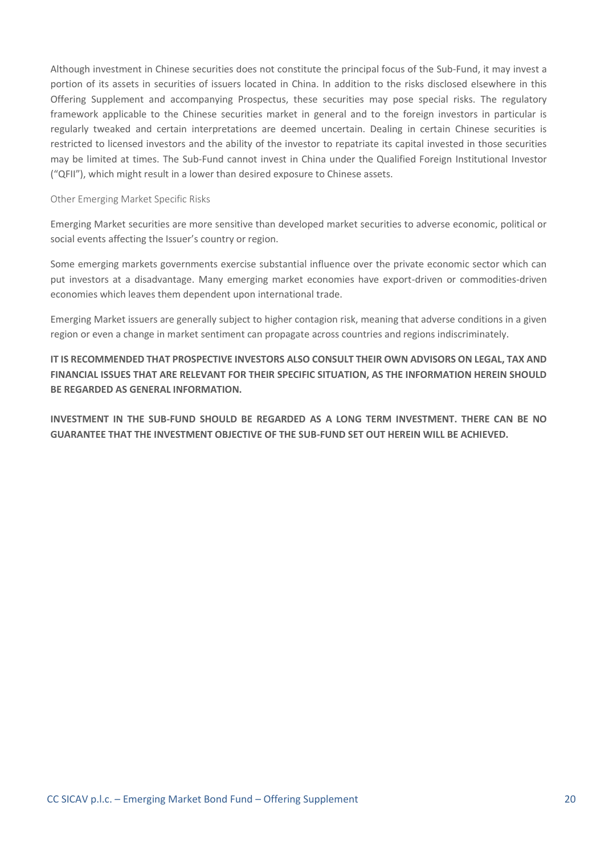Although investment in Chinese securities does not constitute the principal focus of the Sub-Fund, it may invest a portion of its assets in securities of issuers located in China. In addition to the risks disclosed elsewhere in this Offering Supplement and accompanying Prospectus, these securities may pose special risks. The regulatory framework applicable to the Chinese securities market in general and to the foreign investors in particular is regularly tweaked and certain interpretations are deemed uncertain. Dealing in certain Chinese securities is restricted to licensed investors and the ability of the investor to repatriate its capital invested in those securities may be limited at times. The Sub-Fund cannot invest in China under the Qualified Foreign Institutional Investor ("QFII"), which might result in a lower than desired exposure to Chinese assets.

#### Other Emerging Market Specific Risks

Emerging Market securities are more sensitive than developed market securities to adverse economic, political or social events affecting the Issuer's country or region.

Some emerging markets governments exercise substantial influence over the private economic sector which can put investors at a disadvantage. Many emerging market economies have export-driven or commodities-driven economies which leaves them dependent upon international trade.

Emerging Market issuers are generally subject to higher contagion risk, meaning that adverse conditions in a given region or even a change in market sentiment can propagate across countries and regions indiscriminately.

**IT IS RECOMMENDED THAT PROSPECTIVE INVESTORS ALSO CONSULT THEIR OWN ADVISORS ON LEGAL, TAX AND FINANCIAL ISSUES THAT ARE RELEVANT FOR THEIR SPECIFIC SITUATION, AS THE INFORMATION HEREIN SHOULD BE REGARDED AS GENERAL INFORMATION.**

**INVESTMENT IN THE SUB-FUND SHOULD BE REGARDED AS A LONG TERM INVESTMENT. THERE CAN BE NO GUARANTEE THAT THE INVESTMENT OBJECTIVE OF THE SUB-FUND SET OUT HEREIN WILL BE ACHIEVED.**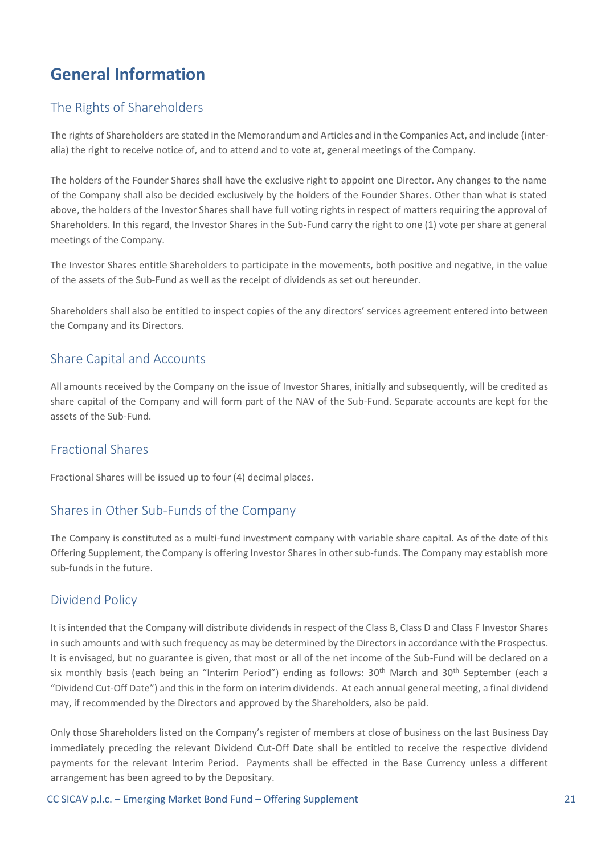# <span id="page-20-0"></span>**General Information**

# The Rights of Shareholders

The rights of Shareholders are stated in the Memorandum and Articles and in the Companies Act, and include (interalia) the right to receive notice of, and to attend and to vote at, general meetings of the Company.

The holders of the Founder Shares shall have the exclusive right to appoint one Director. Any changes to the name of the Company shall also be decided exclusively by the holders of the Founder Shares. Other than what is stated above, the holders of the Investor Shares shall have full voting rights in respect of matters requiring the approval of Shareholders. In this regard, the Investor Shares in the Sub-Fund carry the right to one (1) vote per share at general meetings of the Company.

The Investor Shares entitle Shareholders to participate in the movements, both positive and negative, in the value of the assets of the Sub-Fund as well as the receipt of dividends as set out hereunder.

Shareholders shall also be entitled to inspect copies of the any directors' services agreement entered into between the Company and its Directors.

## Share Capital and Accounts

All amounts received by the Company on the issue of Investor Shares, initially and subsequently, will be credited as share capital of the Company and will form part of the NAV of the Sub-Fund. Separate accounts are kept for the assets of the Sub-Fund.

# Fractional Shares

Fractional Shares will be issued up to four (4) decimal places.

# Shares in Other Sub-Funds of the Company

The Company is constituted as a multi-fund investment company with variable share capital. As of the date of this Offering Supplement, the Company is offering Investor Shares in other sub-funds. The Company may establish more sub-funds in the future.

# Dividend Policy

It is intended that the Company will distribute dividends in respect of the Class B, Class D and Class F Investor Shares in such amounts and with such frequency as may be determined by the Directors in accordance with the Prospectus. It is envisaged, but no guarantee is given, that most or all of the net income of the Sub-Fund will be declared on a six monthly basis (each being an "Interim Period") ending as follows: 30<sup>th</sup> March and 30<sup>th</sup> September (each a "Dividend Cut-Off Date") and this in the form on interim dividends. At each annual general meeting, a final dividend may, if recommended by the Directors and approved by the Shareholders, also be paid.

Only those Shareholders listed on the Company's register of members at close of business on the last Business Day immediately preceding the relevant Dividend Cut-Off Date shall be entitled to receive the respective dividend payments for the relevant Interim Period. Payments shall be effected in the Base Currency unless a different arrangement has been agreed to by the Depositary.

CC SICAV p.l.c. – Emerging Market Bond Fund – Offering Supplement 21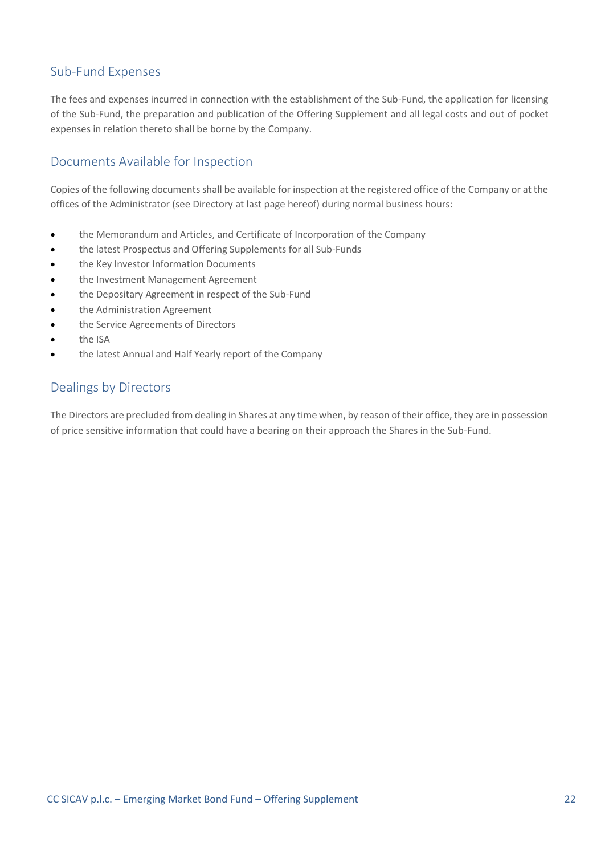# Sub-Fund Expenses

The fees and expenses incurred in connection with the establishment of the Sub-Fund, the application for licensing of the Sub-Fund, the preparation and publication of the Offering Supplement and all legal costs and out of pocket expenses in relation thereto shall be borne by the Company.

# Documents Available for Inspection

Copies of the following documents shall be available for inspection at the registered office of the Company or at the offices of the Administrator (see Directory at last page hereof) during normal business hours:

- the Memorandum and Articles, and Certificate of Incorporation of the Company
- the latest Prospectus and Offering Supplements for all Sub-Funds
- the Key Investor Information Documents
- the Investment Management Agreement
- the Depositary Agreement in respect of the Sub-Fund
- the Administration Agreement
- the Service Agreements of Directors
- the ISA
- the latest Annual and Half Yearly report of the Company

# Dealings by Directors

The Directors are precluded from dealing in Shares at any time when, by reason of their office, they are in possession of price sensitive information that could have a bearing on their approach the Shares in the Sub-Fund.